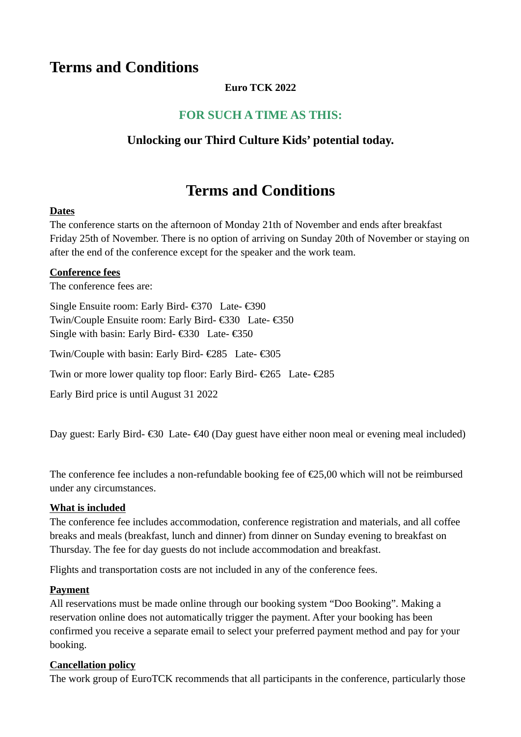# **Terms and Conditions**

### **Euro TCK 2022**

## **FOR SUCH A TIME AS THIS:**

## **Unlocking our Third Culture Kids' potential today.**

# **Terms and Conditions**

#### **Dates**

The conference starts on the afternoon of Monday 21th of November and ends after breakfast Friday 25th of November. There is no option of arriving on Sunday 20th of November or staying on after the end of the conference except for the speaker and the work team.

#### **Conference fees**

The conference fees are:

Single Ensuite room: Early Bird- €370 Late- €390 Twin/Couple Ensuite room: Early Bird- €330 Late- €350 Single with basin: Early Bird- €330 Late- €350

Twin/Couple with basin: Early Bird- €285 Late- €305

Twin or more lower quality top floor: Early Bird- €265 Late- €285

Early Bird price is until August 31 2022

Day guest: Early Bird-  $\epsilon$ 30 Late- $\epsilon$ 40 (Day guest have either noon meal or evening meal included)

The conference fee includes a non-refundable booking fee of  $\epsilon$ 25,00 which will not be reimbursed under any circumstances.

#### **What is included**

The conference fee includes accommodation, conference registration and materials, and all coffee breaks and meals (breakfast, lunch and dinner) from dinner on Sunday evening to breakfast on Thursday. The fee for day guests do not include accommodation and breakfast.

Flights and transportation costs are not included in any of the conference fees.

#### **Payment**

All reservations must be made online through our booking system "Doo Booking". Making a reservation online does not automatically trigger the payment. After your booking has been confirmed you receive a separate email to select your preferred payment method and pay for your booking.

#### **Cancellation policy**

The work group of EuroTCK recommends that all participants in the conference, particularly those